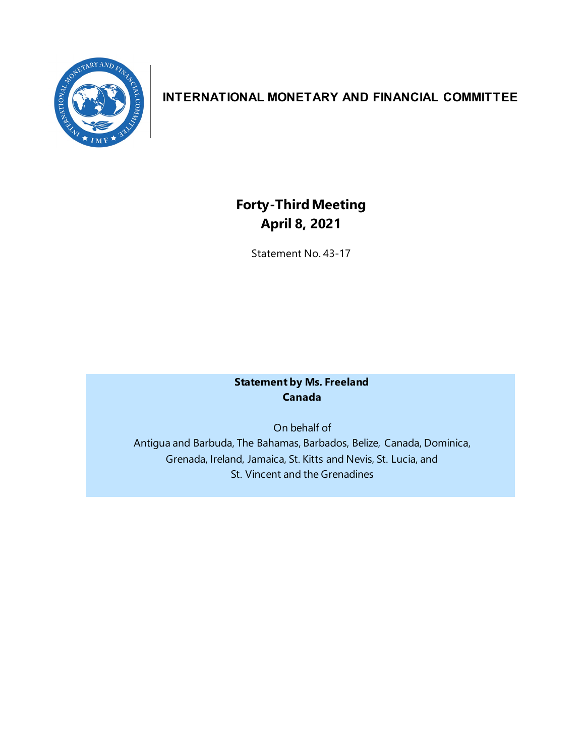

## **INTERNATIONAL MONETARY AND FINANCIAL COMMITTEE**

# **Forty-ThirdMeeting April 8, 2021**

Statement No. 43-17

## **Statement by Ms. Freeland Canada**

On behalf of Antigua and Barbuda, The Bahamas, Barbados, Belize, Canada, Dominica, Grenada, Ireland, Jamaica, St. Kitts and Nevis, St. Lucia, and St. Vincent and the Grenadines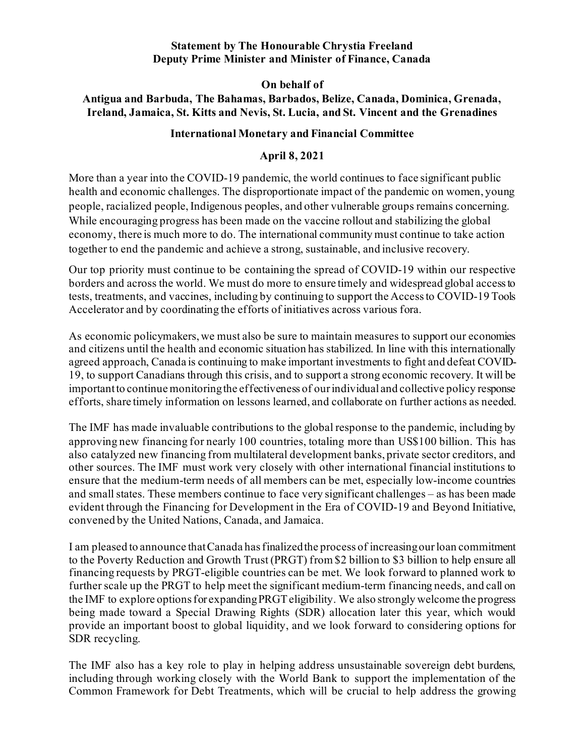#### **Statement by The Honourable Chrystia Freeland Deputy Prime Minister and Minister of Finance, Canada**

**On behalf of**

## **Antigua and Barbuda, The Bahamas, Barbados, Belize, Canada, Dominica, Grenada, Ireland, Jamaica, St. Kitts and Nevis, St. Lucia, and St. Vincent and the Grenadines**

### **International Monetary and Financial Committee**

## **April 8, 2021**

More than a year into the COVID-19 pandemic, the world continues to face significant public health and economic challenges. The disproportionate impact of the pandemic on women, young people, racialized people, Indigenous peoples, and other vulnerable groups remains concerning. While encouraging progress has been made on the vaccine rollout and stabilizing the global economy, there is much more to do. The international community must continue to take action together to end the pandemic and achieve a strong, sustainable, and inclusive recovery.

Our top priority must continue to be containing the spread of COVID-19 within our respective borders and across the world. We must do more to ensure timely and widespread global access to tests, treatments, and vaccines, including by continuing to support the Access to COVID-19 Tools Accelerator and by coordinating the efforts of initiatives across various fora.

As economic policymakers, we must also be sure to maintain measures to support our economies and citizens until the health and economic situation has stabilized. In line with this internationally agreed approach, Canada is continuing to make important investments to fight and defeat COVID-19, to support Canadians through this crisis, and to support a strong economic recovery. It will be important to continue monitoringthe effectiveness of our individual and collective policy response efforts, share timely information on lessons learned, and collaborate on further actions as needed.

The IMF has made invaluable contributions to the global response to the pandemic, including by approving new financing for nearly 100 countries, totaling more than US\$100 billion. This has also catalyzed new financing from multilateral development banks, private sector creditors, and other sources. The IMF must work very closely with other international financial institutions to ensure that the medium-term needs of all members can be met, especially low-income countries and small states. These members continue to face very significant challenges – as has been made evident through the Financing for Development in the Era of COVID-19 and Beyond Initiative, convened by the United Nations, Canada, and Jamaica.

I am pleased to announce that Canada has finalized the process of increasing our loan commitment to the Poverty Reduction and Growth Trust (PRGT) from \$2 billion to \$3 billion to help ensure all financing requests by PRGT-eligible countries can be met. We look forward to planned work to further scale up the PRGT to help meet the significant medium-term financing needs, and call on the IMF to explore options for expandingPRGT eligibility. We also strongly welcome the progress being made toward a Special Drawing Rights (SDR) allocation later this year, which would provide an important boost to global liquidity, and we look forward to considering options for SDR recycling.

The IMF also has a key role to play in helping address unsustainable sovereign debt burdens, including through working closely with the World Bank to support the implementation of the Common Framework for Debt Treatments, which will be crucial to help address the growing